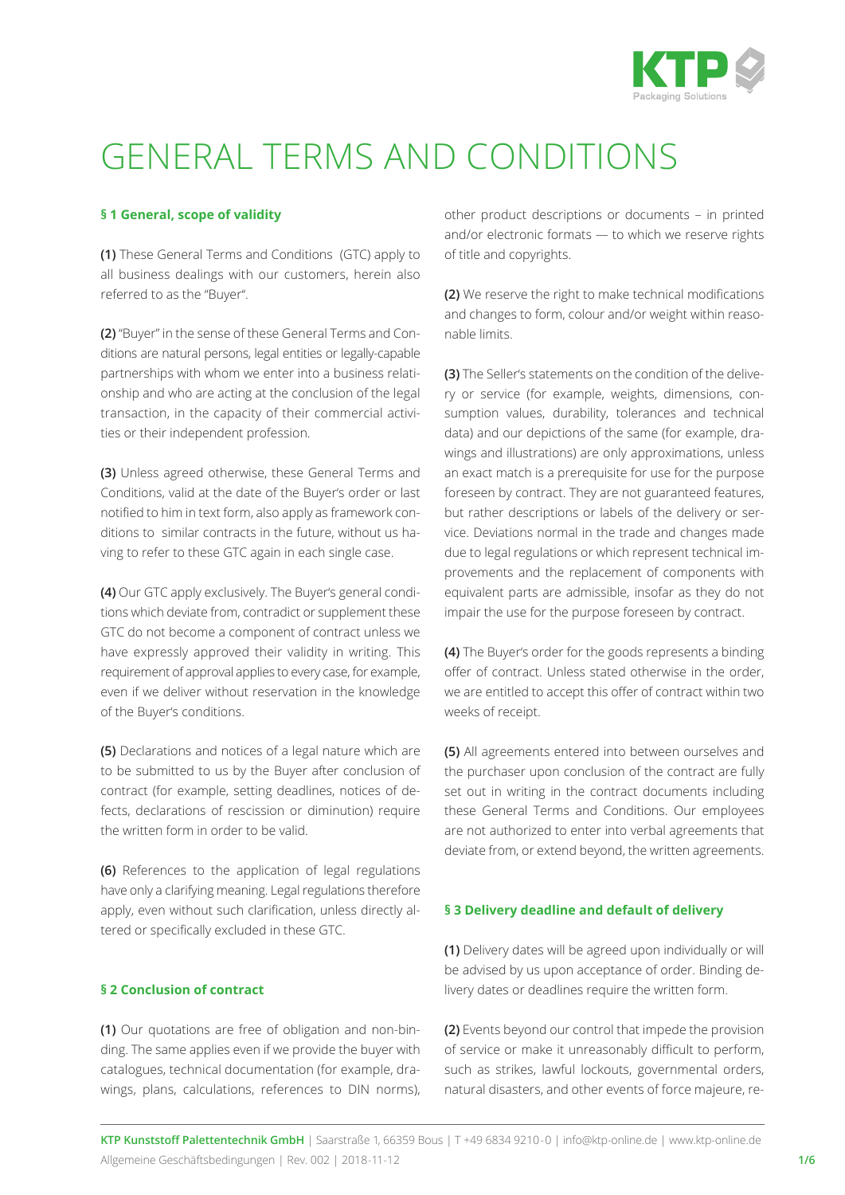

# GENERAL TERMS AND CONDITIONS

## **§ 1 General, scope of validity**

**(1)** These General Terms and Conditions (GTC) apply to all business dealings with our customers, herein also referred to as the "Buyer''.

**(2)** "Buyer" in the sense of these General Terms and Conditions are natural persons, legal entities or legally-capable partnerships with whom we enter into a business relationship and who are acting at the conclusion of the legal transaction, in the capacity of their commercial activities or their independent profession.

**(3)** Unless agreed otherwise, these General Terms and Conditions, valid at the date of the Buyer's order or last notified to him in text form, also apply as framework conditions to similar contracts in the future, without us having to refer to these GTC again in each single case.

**(4)** Our GTC apply exclusively. The Buyer's general conditions which deviate from, contradict or supplement these GTC do not become a component of contract unless we have expressly approved their validity in writing. This requirement of approval applies to every case, for example, even if we deliver without reservation in the knowledge of the Buyer's conditions.

**(5)** Declarations and notices of a legal nature which are to be submitted to us by the Buyer after conclusion of contract (for example, setting deadlines, notices of defects, declarations of rescission or diminution) require the written form in order to be valid.

**(6)** References to the application of legal regulations have only a clarifying meaning. Legal regulations therefore apply, even without such clarification, unless directly altered or specifically excluded in these GTC.

#### **§ 2 Conclusion of contract**

**(1)** Our quotations are free of obligation and non-binding. The same applies even if we provide the buyer with catalogues, technical documentation (for example, drawings, plans, calculations, references to DIN norms), other product descriptions or documents – in printed and/or electronic formats — to which we reserve rights of title and copyrights.

**(2)** We reserve the right to make technical modifications and changes to form, colour and/or weight within reasonable limits.

**(3)** The Seller's statements on the condition of the delivery or service (for example, weights, dimensions, consumption values, durability, tolerances and technical data) and our depictions of the same (for example, drawings and illustrations) are only approximations, unless an exact match is a prerequisite for use for the purpose foreseen by contract. They are not guaranteed features, but rather descriptions or labels of the delivery or service. Deviations normal in the trade and changes made due to legal regulations or which represent technical improvements and the replacement of components with equivalent parts are admissible, insofar as they do not impair the use for the purpose foreseen by contract.

**(4)** The Buyer's order for the goods represents a binding offer of contract. Unless stated otherwise in the order, we are entitled to accept this offer of contract within two weeks of receipt.

**(5)** All agreements entered into between ourselves and the purchaser upon conclusion of the contract are fully set out in writing in the contract documents including these General Terms and Conditions. Our employees are not authorized to enter into verbal agreements that deviate from, or extend beyond, the written agreements.

#### **§ 3 Delivery deadline and default of delivery**

**(1)** Delivery dates will be agreed upon individually or will be advised by us upon acceptance of order. Binding delivery dates or deadlines require the written form.

**(2)** Events beyond our control that impede the provision of service or make it unreasonably difficult to perform, such as strikes, lawful lockouts, governmental orders, natural disasters, and other events of force majeure, re-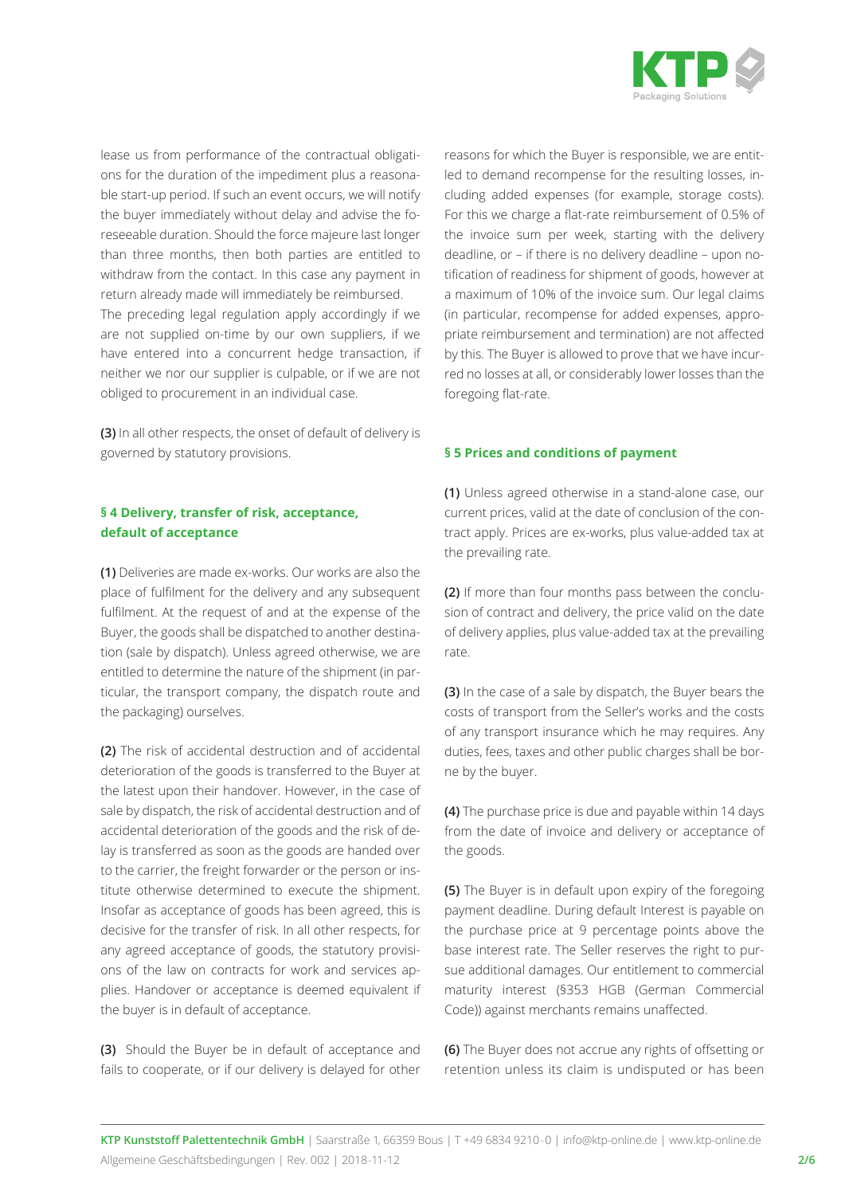

lease us from performance of the contractual obligations for the duration of the impediment plus a reasonable start-up period. If such an event occurs, we will notify the buyer immediately without delay and advise the foreseeable duration. Should the force majeure last longer than three months, then both parties are entitled to withdraw from the contact. In this case any payment in return already made will immediately be reimbursed. The preceding legal regulation apply accordingly if we are not supplied on-time by our own suppliers, if we have entered into a concurrent hedge transaction, if neither we nor our supplier is culpable, or if we are not obliged to procurement in an individual case.

**(3)** In all other respects, the onset of default of delivery is governed by statutory provisions.

## **§ 4 Delivery, transfer of risk, acceptance, default of acceptance**

**(1)** Deliveries are made ex-works. Our works are also the place of fulfilment for the delivery and any subsequent fulfilment. At the request of and at the expense of the Buyer, the goods shall be dispatched to another destination (sale by dispatch). Unless agreed otherwise, we are entitled to determine the nature of the shipment (in particular, the transport company, the dispatch route and the packaging) ourselves.

**(2)** The risk of accidental destruction and of accidental deterioration of the goods is transferred to the Buyer at the latest upon their handover. However, in the case of sale by dispatch, the risk of accidental destruction and of accidental deterioration of the goods and the risk of delay is transferred as soon as the goods are handed over to the carrier, the freight forwarder or the person or institute otherwise determined to execute the shipment. Insofar as acceptance of goods has been agreed, this is decisive for the transfer of risk. In all other respects, for any agreed acceptance of goods, the statutory provisions of the law on contracts for work and services applies. Handover or acceptance is deemed equivalent if the buyer is in default of acceptance.

**(3)** Should the Buyer be in default of acceptance and fails to cooperate, or if our delivery is delayed for other reasons for which the Buyer is responsible, we are entitled to demand recompense for the resulting losses, including added expenses (for example, storage costs). For this we charge a flat-rate reimbursement of 0.5% of the invoice sum per week, starting with the delivery deadline, or – if there is no delivery deadline – upon notification of readiness for shipment of goods, however at a maximum of 10% of the invoice sum. Our legal claims (in particular, recompense for added expenses, appropriate reimbursement and termination) are not affected by this. The Buyer is allowed to prove that we have incurred no losses at all, or considerably lower losses than the foregoing flat-rate.

#### **§ 5 Prices and conditions of payment**

**(1)** Unless agreed otherwise in a stand-alone case, our current prices, valid at the date of conclusion of the contract apply. Prices are ex-works, plus value-added tax at the prevailing rate.

**(2)** If more than four months pass between the conclusion of contract and delivery, the price valid on the date of delivery applies, plus value-added tax at the prevailing rate.

**(3)** In the case of a sale by dispatch, the Buyer bears the costs of transport from the Seller's works and the costs of any transport insurance which he may requires. Any duties, fees, taxes and other public charges shall be borne by the buyer.

**(4)** The purchase price is due and payable within 14 days from the date of invoice and delivery or acceptance of the goods.

**(5)** The Buyer is in default upon expiry of the foregoing payment deadline. During default Interest is payable on the purchase price at 9 percentage points above the base interest rate. The Seller reserves the right to pursue additional damages. Our entitlement to commercial maturity interest (§353 HGB (German Commercial Code)) against merchants remains unaffected.

**(6)** The Buyer does not accrue any rights of offsetting or retention unless its claim is undisputed or has been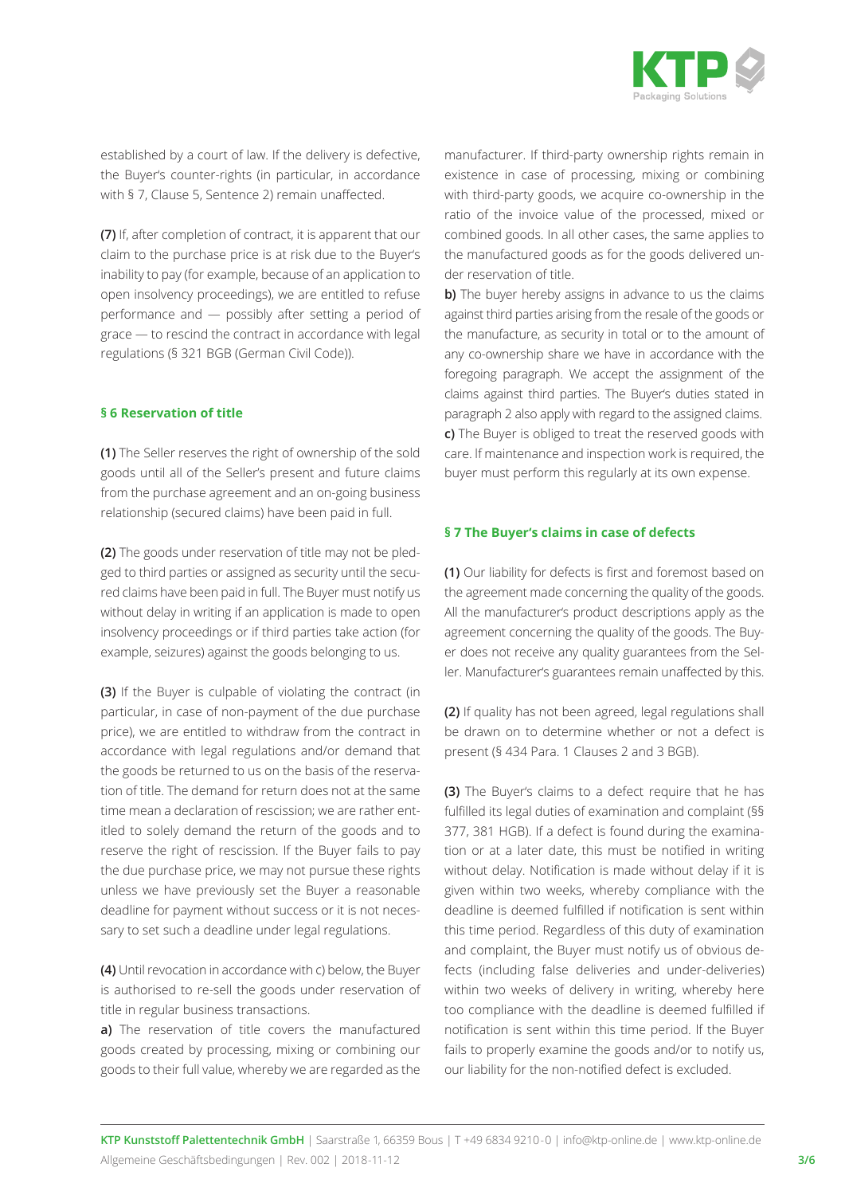

established by a court of law. If the delivery is defective, the Buyer's counter-rights (in particular, in accordance with § 7, Clause 5, Sentence 2) remain unaffected.

**(7)** If, after completion of contract, it is apparent that our claim to the purchase price is at risk due to the Buyer's inability to pay (for example, because of an application to open insolvency proceedings), we are entitled to refuse performance and — possibly after setting a period of grace — to rescind the contract in accordance with legal regulations (§ 321 BGB (German Civil Code)).

#### **§ 6 Reservation of title**

**(1)** The Seller reserves the right of ownership of the sold goods until all of the Seller's present and future claims from the purchase agreement and an on-going business relationship (secured claims) have been paid in full.

**(2)** The goods under reservation of title may not be pledged to third parties or assigned as security until the secured claims have been paid in full. The Buyer must notify us without delay in writing if an application is made to open insolvency proceedings or if third parties take action (for example, seizures) against the goods belonging to us.

**(3)** If the Buyer is culpable of violating the contract (in particular, in case of non-payment of the due purchase price), we are entitled to withdraw from the contract in accordance with legal regulations and/or demand that the goods be returned to us on the basis of the reservation of title. The demand for return does not at the same time mean a declaration of rescission; we are rather entitled to solely demand the return of the goods and to reserve the right of rescission. If the Buyer fails to pay the due purchase price, we may not pursue these rights unless we have previously set the Buyer a reasonable deadline for payment without success or it is not necessary to set such a deadline under legal regulations.

**(4)** Until revocation in accordance with c) below, the Buyer is authorised to re-sell the goods under reservation of title in regular business transactions.

**a)** The reservation of title covers the manufactured goods created by processing, mixing or combining our goods to their full value, whereby we are regarded as the manufacturer. If third-party ownership rights remain in existence in case of processing, mixing or combining with third-party goods, we acquire co-ownership in the ratio of the invoice value of the processed, mixed or combined goods. In all other cases, the same applies to the manufactured goods as for the goods delivered under reservation of title.

**b)** The buyer hereby assigns in advance to us the claims against third parties arising from the resale of the goods or the manufacture, as security in total or to the amount of any co-ownership share we have in accordance with the foregoing paragraph. We accept the assignment of the claims against third parties. The Buyer's duties stated in paragraph 2 also apply with regard to the assigned claims. **c)** The Buyer is obliged to treat the reserved goods with care. lf maintenance and inspection work is required, the buyer must perform this regularly at its own expense.

#### **§ 7 The Buyer's claims in case of defects**

**(1)** Our liability for defects is first and foremost based on the agreement made concerning the quality of the goods. All the manufacturer's product descriptions apply as the agreement concerning the quality of the goods. The Buyer does not receive any quality guarantees from the Seller. Manufacturer's guarantees remain unaffected by this.

**(2)** If quality has not been agreed, legal regulations shall be drawn on to determine whether or not a defect is present (§ 434 Para. 1 Clauses 2 and 3 BGB).

**(3)** The Buyer's claims to a defect require that he has fulfilled its legal duties of examination and complaint (§§ 377, 381 HGB). If a defect is found during the examination or at a later date, this must be notified in writing without delay. Notification is made without delay if it is given within two weeks, whereby compliance with the deadline is deemed fulfilled if notification is sent within this time period. Regardless of this duty of examination and complaint, the Buyer must notify us of obvious defects (including false deliveries and under-deliveries) within two weeks of delivery in writing, whereby here too compliance with the deadline is deemed fulfilled if notification is sent within this time period. lf the Buyer fails to properly examine the goods and/or to notify us, our liability for the non-notified defect is excluded.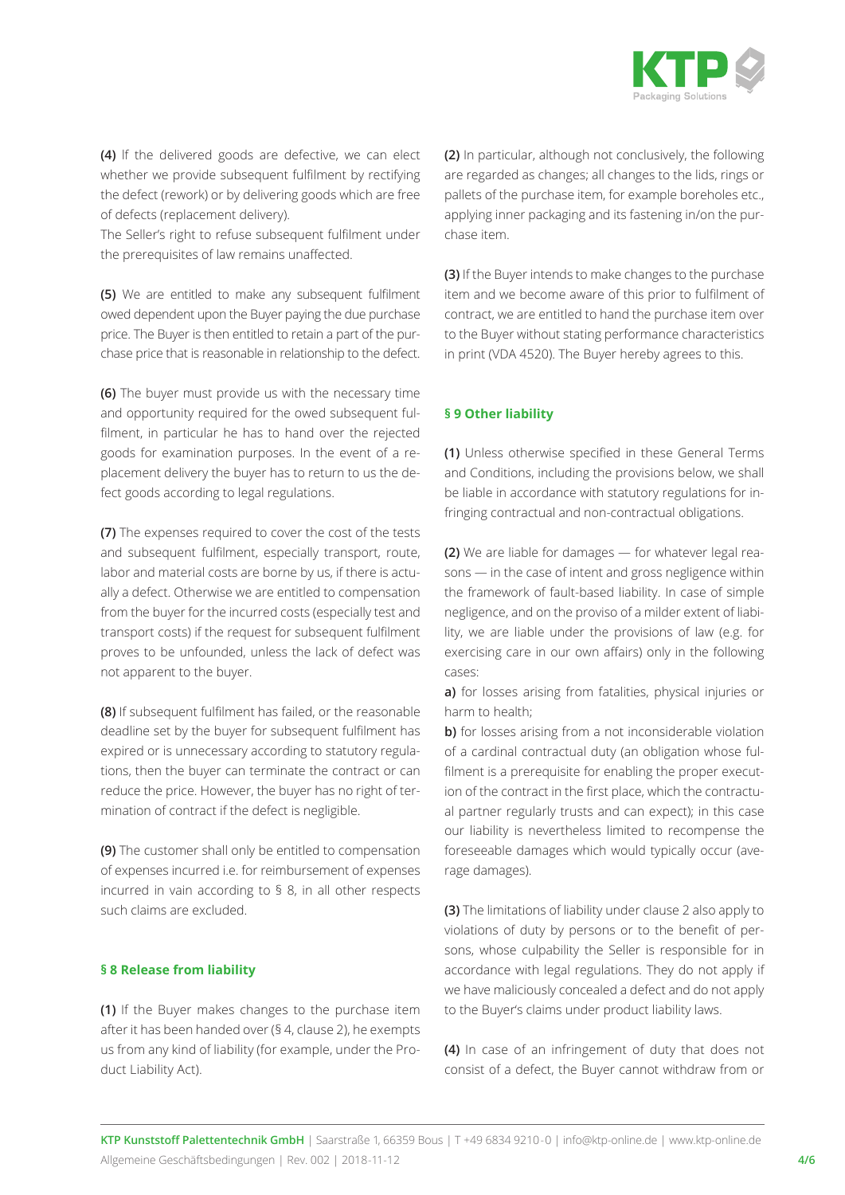

**(4)** lf the delivered goods are defective, we can elect whether we provide subsequent fulfilment by rectifying the defect (rework) or by delivering goods which are free of defects (replacement delivery).

The Seller's right to refuse subsequent fulfilment under the prerequisites of law remains unaffected.

**(5)** We are entitled to make any subsequent fulfilment owed dependent upon the Buyer paying the due purchase price. The Buyer is then entitled to retain a part of the purchase price that is reasonable in relationship to the defect.

**(6)** The buyer must provide us with the necessary time and opportunity required for the owed subsequent fulfilment, in particular he has to hand over the rejected goods for examination purposes. In the event of a replacement delivery the buyer has to return to us the defect goods according to legal regulations.

**(7)** The expenses required to cover the cost of the tests and subsequent fulfilment, especially transport, route, labor and material costs are borne by us, if there is actually a defect. Otherwise we are entitled to compensation from the buyer for the incurred costs (especially test and transport costs) if the request for subsequent fulfilment proves to be unfounded, unless the lack of defect was not apparent to the buyer.

**(8)** If subsequent fulfilment has failed, or the reasonable deadline set by the buyer for subsequent fulfilment has expired or is unnecessary according to statutory regulations, then the buyer can terminate the contract or can reduce the price. However, the buyer has no right of termination of contract if the defect is negligible.

**(9)** The customer shall only be entitled to compensation of expenses incurred i.e. for reimbursement of expenses incurred in vain according to § 8, in all other respects such claims are excluded.

#### **§ 8 Release from liability**

**(1)** If the Buyer makes changes to the purchase item after it has been handed over (§ 4, clause 2), he exempts us from any kind of liability (for example, under the Product Liability Act).

**(2)** In particular, although not conclusively, the following are regarded as changes; all changes to the lids, rings or pallets of the purchase item, for example boreholes etc., applying inner packaging and its fastening in/on the purchase item.

**(3)** If the Buyer intends to make changes to the purchase item and we become aware of this prior to fulfilment of contract, we are entitled to hand the purchase item over to the Buyer without stating performance characteristics in print (VDA 4520). The Buyer hereby agrees to this.

#### **§ 9 Other liability**

**(1)** Unless otherwise specified in these General Terms and Conditions, including the provisions below, we shall be liable in accordance with statutory regulations for infringing contractual and non-contractual obligations.

**(2)** We are liable for damages — for whatever legal reasons — in the case of intent and gross negligence within the framework of fault-based liability. In case of simple negligence, and on the proviso of a milder extent of liability, we are liable under the provisions of law (e.g. for exercising care in our own affairs) only in the following cases:

**a)** for losses arising from fatalities, physical injuries or harm to health;

**b**) for losses arising from a not inconsiderable violation of a cardinal contractual duty (an obligation whose fulfilment is a prerequisite for enabling the proper execution of the contract in the first place, which the contractual partner regularly trusts and can expect); in this case our liability is nevertheless limited to recompense the foreseeable damages which would typically occur (average damages).

**(3)** The limitations of liability under clause 2 also apply to violations of duty by persons or to the benefit of persons, whose culpability the Seller is responsible for in accordance with legal regulations. They do not apply if we have maliciously concealed a defect and do not apply to the Buyer's claims under product liability laws.

**(4)** In case of an infringement of duty that does not consist of a defect, the Buyer cannot withdraw from or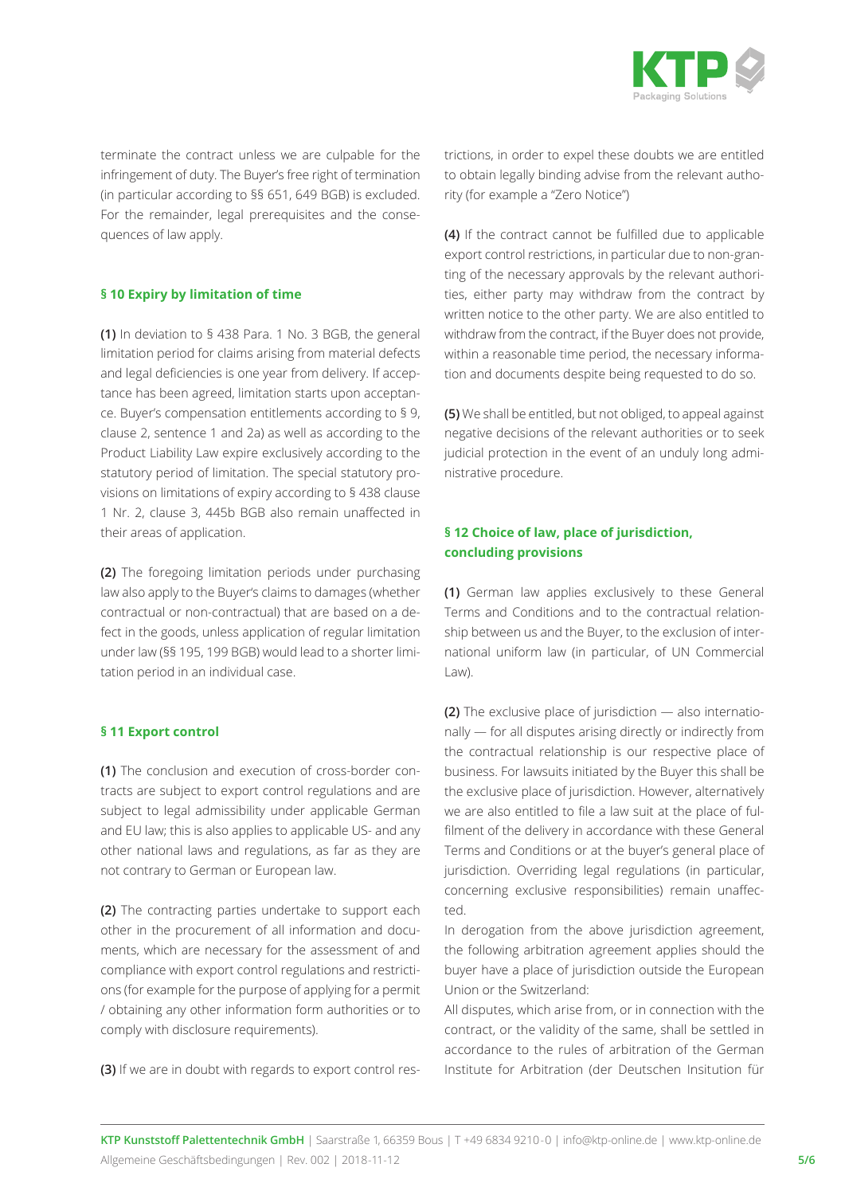

terminate the contract unless we are culpable for the infringement of duty. The Buyer's free right of termination (in particular according to §§ 651, 649 BGB) is excluded. For the remainder, legal prerequisites and the consequences of law apply.

#### **§ 10 Expiry by limitation of time**

**(1)** In deviation to § 438 Para. 1 No. 3 BGB, the general limitation period for claims arising from material defects and legal deficiencies is one year from delivery. If acceptance has been agreed, limitation starts upon acceptance. Buyer's compensation entitlements according to § 9, clause 2, sentence 1 and 2a) as well as according to the Product Liability Law expire exclusively according to the statutory period of limitation. The special statutory provisions on limitations of expiry according to § 438 clause 1 Nr. 2, clause 3, 445b BGB also remain unaffected in their areas of application.

**(2)** The foregoing limitation periods under purchasing law also apply to the Buyer's claims to damages (whether contractual or non-contractual) that are based on a defect in the goods, unless application of regular limitation under law (§§ 195, 199 BGB) would lead to a shorter limitation period in an individual case.

#### **§ 11 Export control**

**(1)** The conclusion and execution of cross-border contracts are subject to export control regulations and are subject to legal admissibility under applicable German and EU law; this is also applies to applicable US- and any other national laws and regulations, as far as they are not contrary to German or European law.

**(2)** The contracting parties undertake to support each other in the procurement of all information and documents, which are necessary for the assessment of and compliance with export control regulations and restrictions (for example for the purpose of applying for a permit / obtaining any other information form authorities or to comply with disclosure requirements).

**(3)** If we are in doubt with regards to export control res-

trictions, in order to expel these doubts we are entitled to obtain legally binding advise from the relevant authority (for example a "Zero Notice")

**(4)** If the contract cannot be fulfilled due to applicable export control restrictions, in particular due to non-granting of the necessary approvals by the relevant authorities, either party may withdraw from the contract by written notice to the other party. We are also entitled to withdraw from the contract, if the Buyer does not provide, within a reasonable time period, the necessary information and documents despite being requested to do so.

**(5)** We shall be entitled, but not obliged, to appeal against negative decisions of the relevant authorities or to seek judicial protection in the event of an unduly long administrative procedure.

# **§ 12 Choice of law, place of jurisdiction, concluding provisions**

**(1)** German law applies exclusively to these General Terms and Conditions and to the contractual relationship between us and the Buyer, to the exclusion of international uniform law (in particular, of UN Commercial Law).

**(2)** The exclusive place of jurisdiction — also internationally — for all disputes arising directly or indirectly from the contractual relationship is our respective place of business. For lawsuits initiated by the Buyer this shall be the exclusive place of jurisdiction. However, alternatively we are also entitled to file a law suit at the place of fulfilment of the delivery in accordance with these General Terms and Conditions or at the buyer's general place of jurisdiction. Overriding legal regulations (in particular, concerning exclusive responsibilities) remain unaffected.

In derogation from the above jurisdiction agreement, the following arbitration agreement applies should the buyer have a place of jurisdiction outside the European Union or the Switzerland:

All disputes, which arise from, or in connection with the contract, or the validity of the same, shall be settled in accordance to the rules of arbitration of the German Institute for Arbitration (der Deutschen Insitution für